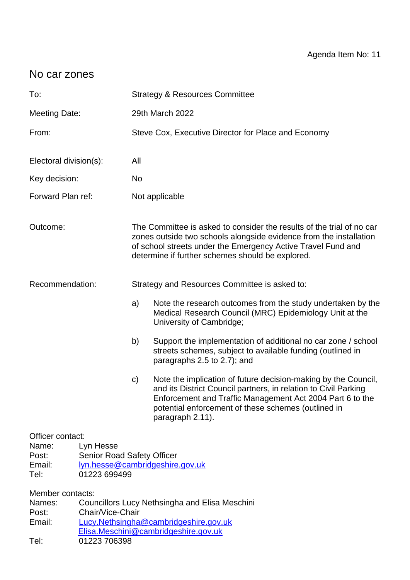# No car zones

| To:                                                               |                                                                | <b>Strategy &amp; Resources Committee</b>                                                                                                                                                                                                                       |                                                                                                                                                                                                                                                                           |  |  |  |
|-------------------------------------------------------------------|----------------------------------------------------------------|-----------------------------------------------------------------------------------------------------------------------------------------------------------------------------------------------------------------------------------------------------------------|---------------------------------------------------------------------------------------------------------------------------------------------------------------------------------------------------------------------------------------------------------------------------|--|--|--|
| <b>Meeting Date:</b>                                              |                                                                | 29th March 2022                                                                                                                                                                                                                                                 |                                                                                                                                                                                                                                                                           |  |  |  |
| From:                                                             |                                                                | Steve Cox, Executive Director for Place and Economy                                                                                                                                                                                                             |                                                                                                                                                                                                                                                                           |  |  |  |
| Electoral division(s):                                            |                                                                | All                                                                                                                                                                                                                                                             |                                                                                                                                                                                                                                                                           |  |  |  |
| Key decision:                                                     |                                                                | No                                                                                                                                                                                                                                                              |                                                                                                                                                                                                                                                                           |  |  |  |
| Forward Plan ref:                                                 |                                                                | Not applicable                                                                                                                                                                                                                                                  |                                                                                                                                                                                                                                                                           |  |  |  |
| Outcome:                                                          |                                                                | The Committee is asked to consider the results of the trial of no car<br>zones outside two schools alongside evidence from the installation<br>of school streets under the Emergency Active Travel Fund and<br>determine if further schemes should be explored. |                                                                                                                                                                                                                                                                           |  |  |  |
| Recommendation:                                                   |                                                                | Strategy and Resources Committee is asked to:                                                                                                                                                                                                                   |                                                                                                                                                                                                                                                                           |  |  |  |
|                                                                   |                                                                | a)                                                                                                                                                                                                                                                              | Note the research outcomes from the study undertaken by the<br>Medical Research Council (MRC) Epidemiology Unit at the<br>University of Cambridge;                                                                                                                        |  |  |  |
|                                                                   |                                                                | b)                                                                                                                                                                                                                                                              | Support the implementation of additional no car zone / school<br>streets schemes, subject to available funding (outlined in<br>paragraphs 2.5 to 2.7); and                                                                                                                |  |  |  |
|                                                                   |                                                                | c)                                                                                                                                                                                                                                                              | Note the implication of future decision-making by the Council,<br>and its District Council partners, in relation to Civil Parking<br>Enforcement and Traffic Management Act 2004 Part 6 to the<br>potential enforcement of these schemes (outlined in<br>paragraph 2.11). |  |  |  |
| Officer contact:<br>Name:<br>Post:<br>Email:<br>Tel:              | Lyn Hesse<br><b>Senior Road Safety Officer</b><br>01223 699499 |                                                                                                                                                                                                                                                                 | lyn.hesse@cambridgeshire.gov.uk                                                                                                                                                                                                                                           |  |  |  |
| Member contacts:<br>Names:<br>Chair/Vice-Chair<br>Post:<br>Email: |                                                                |                                                                                                                                                                                                                                                                 | <b>Councillors Lucy Nethsingha and Elisa Meschini</b><br>Lucy.Nethsingha@cambridgeshire.gov.uk<br>Elisa.Meschini@cambridgeshire.gov.uk                                                                                                                                    |  |  |  |

Tel: 01223 706398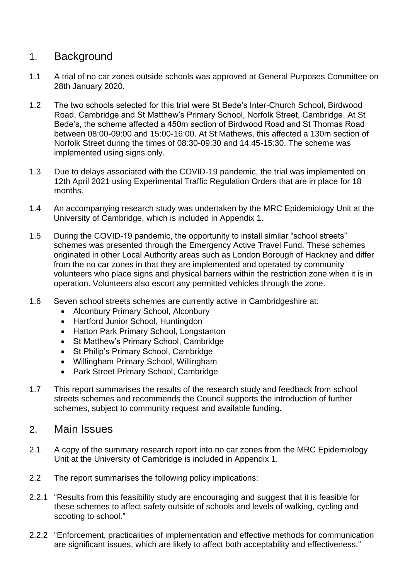# 1. Background

- 1.1 A trial of no car zones outside schools was approved at General Purposes Committee on 28th January 2020.
- 1.2 The two schools selected for this trial were St Bede's Inter-Church School, Birdwood Road, Cambridge and St Matthew's Primary School, Norfolk Street, Cambridge. At St Bede's, the scheme affected a 450m section of Birdwood Road and St Thomas Road between 08:00-09:00 and 15:00-16:00. At St Mathews, this affected a 130m section of Norfolk Street during the times of 08:30-09:30 and 14:45-15:30. The scheme was implemented using signs only.
- 1.3 Due to delays associated with the COVID-19 pandemic, the trial was implemented on 12th April 2021 using Experimental Traffic Regulation Orders that are in place for 18 months.
- 1.4 An accompanying research study was undertaken by the MRC Epidemiology Unit at the University of Cambridge, which is included in Appendix 1.
- 1.5 During the COVID-19 pandemic, the opportunity to install similar "school streets" schemes was presented through the Emergency Active Travel Fund. These schemes originated in other Local Authority areas such as London Borough of Hackney and differ from the no car zones in that they are implemented and operated by community volunteers who place signs and physical barriers within the restriction zone when it is in operation. Volunteers also escort any permitted vehicles through the zone.
- 1.6 Seven school streets schemes are currently active in Cambridgeshire at:
	- Alconbury Primary School, Alconbury
	- Hartford Junior School, Huntingdon
	- Hatton Park Primary School, Longstanton
	- St Matthew's Primary School, Cambridge
	- St Philip's Primary School, Cambridge
	- Willingham Primary School, Willingham
	- Park Street Primary School, Cambridge
- 1.7 This report summarises the results of the research study and feedback from school streets schemes and recommends the Council supports the introduction of further schemes, subject to community request and available funding.
- 2. Main Issues
- 2.1 A copy of the summary research report into no car zones from the MRC Epidemiology Unit at the University of Cambridge is included in Appendix 1.
- 2.2 The report summarises the following policy implications:
- 2.2.1 "Results from this feasibility study are encouraging and suggest that it is feasible for these schemes to affect safety outside of schools and levels of walking, cycling and scooting to school."
- 2.2.2 "Enforcement, practicalities of implementation and effective methods for communication are significant issues, which are likely to affect both acceptability and effectiveness."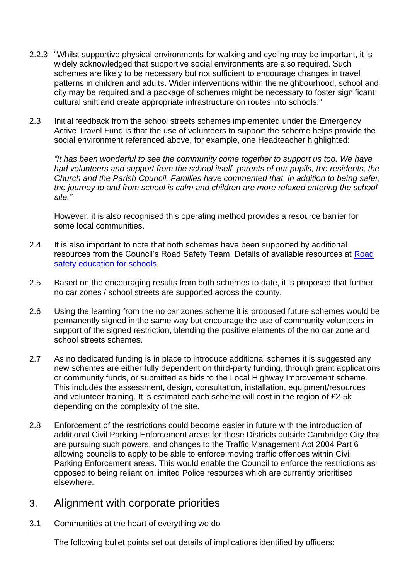- 2.2.3 "Whilst supportive physical environments for walking and cycling may be important, it is widely acknowledged that supportive social environments are also required. Such schemes are likely to be necessary but not sufficient to encourage changes in travel patterns in children and adults. Wider interventions within the neighbourhood, school and city may be required and a package of schemes might be necessary to foster significant cultural shift and create appropriate infrastructure on routes into schools."
- 2.3 Initial feedback from the school streets schemes implemented under the Emergency Active Travel Fund is that the use of volunteers to support the scheme helps provide the social environment referenced above, for example, one Headteacher highlighted:

*"It has been wonderful to see the community come together to support us too. We have*  had volunteers and support from the school itself, parents of our pupils, the residents, the *Church and the Parish Council. Families have commented that, in addition to being safer, the journey to and from school is calm and children are more relaxed entering the school site."*

However, it is also recognised this operating method provides a resource barrier for some local communities.

- 2.4 It is also important to note that both schemes have been supported by additional resources from the Council's Road Safety Team. Details of available resources at [Road](https://www.cambridgeshire.gov.uk/residents/travel-roads-and-parking/roads-and-pathways/road-safety/road-safety-education-for-schools)  [safety education for schools](https://www.cambridgeshire.gov.uk/residents/travel-roads-and-parking/roads-and-pathways/road-safety/road-safety-education-for-schools)
- 2.5 Based on the encouraging results from both schemes to date, it is proposed that further no car zones / school streets are supported across the county.
- 2.6 Using the learning from the no car zones scheme it is proposed future schemes would be permanently signed in the same way but encourage the use of community volunteers in support of the signed restriction, blending the positive elements of the no car zone and school streets schemes.
- 2.7 As no dedicated funding is in place to introduce additional schemes it is suggested any new schemes are either fully dependent on third-party funding, through grant applications or community funds, or submitted as bids to the Local Highway Improvement scheme. This includes the assessment, design, consultation, installation, equipment/resources and volunteer training. It is estimated each scheme will cost in the region of £2-5k depending on the complexity of the site.
- 2.8 Enforcement of the restrictions could become easier in future with the introduction of additional Civil Parking Enforcement areas for those Districts outside Cambridge City that are pursuing such powers, and changes to the Traffic Management Act 2004 Part 6 allowing councils to apply to be able to enforce moving traffic offences within Civil Parking Enforcement areas. This would enable the Council to enforce the restrictions as opposed to being reliant on limited Police resources which are currently prioritised elsewhere.

## 3. Alignment with corporate priorities

3.1 Communities at the heart of everything we do

The following bullet points set out details of implications identified by officers: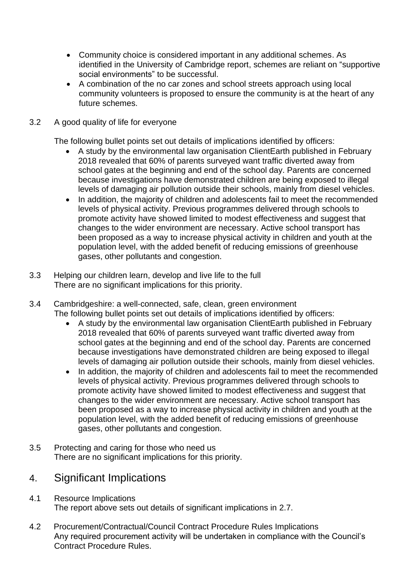- Community choice is considered important in any additional schemes. As identified in the University of Cambridge report, schemes are reliant on "supportive social environments" to be successful.
- A combination of the no car zones and school streets approach using local community volunteers is proposed to ensure the community is at the heart of any future schemes.
- 3.2 A good quality of life for everyone

The following bullet points set out details of implications identified by officers:

- A study by the environmental law organisation ClientEarth published in February 2018 revealed that 60% of parents surveyed want traffic diverted away from school gates at the beginning and end of the school day. Parents are concerned because investigations have demonstrated children are being exposed to illegal levels of damaging air pollution outside their schools, mainly from diesel vehicles.
- In addition, the majority of children and adolescents fail to meet the recommended levels of physical activity. Previous programmes delivered through schools to promote activity have showed limited to modest effectiveness and suggest that changes to the wider environment are necessary. Active school transport has been proposed as a way to increase physical activity in children and youth at the population level, with the added benefit of reducing emissions of greenhouse gases, other pollutants and congestion.
- 3.3 Helping our children learn, develop and live life to the full There are no significant implications for this priority.
- 3.4 Cambridgeshire: a well-connected, safe, clean, green environment The following bullet points set out details of implications identified by officers:
	- A study by the environmental law organisation ClientEarth published in February 2018 revealed that 60% of parents surveyed want traffic diverted away from school gates at the beginning and end of the school day. Parents are concerned because investigations have demonstrated children are being exposed to illegal levels of damaging air pollution outside their schools, mainly from diesel vehicles.
	- In addition, the majority of children and adolescents fail to meet the recommended levels of physical activity. Previous programmes delivered through schools to promote activity have showed limited to modest effectiveness and suggest that changes to the wider environment are necessary. Active school transport has been proposed as a way to increase physical activity in children and youth at the population level, with the added benefit of reducing emissions of greenhouse gases, other pollutants and congestion.
- 3.5 Protecting and caring for those who need us There are no significant implications for this priority.

# 4. Significant Implications

- 4.1 Resource Implications The report above sets out details of significant implications in 2.7.
- 4.2 Procurement/Contractual/Council Contract Procedure Rules Implications Any required procurement activity will be undertaken in compliance with the Council's Contract Procedure Rules.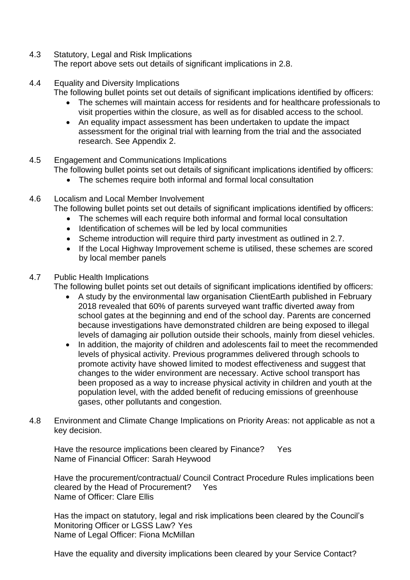- 4.3 Statutory, Legal and Risk Implications The report above sets out details of significant implications in 2.8.
- 4.4 Equality and Diversity Implications

The following bullet points set out details of significant implications identified by officers:

- The schemes will maintain access for residents and for healthcare professionals to visit properties within the closure, as well as for disabled access to the school.
- An equality impact assessment has been undertaken to update the impact assessment for the original trial with learning from the trial and the associated research. See Appendix 2.
- 4.5 Engagement and Communications Implications The following bullet points set out details of significant implications identified by officers:
	- The schemes require both informal and formal local consultation
- 4.6 Localism and Local Member Involvement
	- The following bullet points set out details of significant implications identified by officers:
		- The schemes will each require both informal and formal local consultation
		- Identification of schemes will be led by local communities
		- Scheme introduction will require third party investment as outlined in 2.7.
		- If the Local Highway Improvement scheme is utilised, these schemes are scored by local member panels

## 4.7 Public Health Implications

The following bullet points set out details of significant implications identified by officers:

- A study by the environmental law organisation ClientEarth published in February 2018 revealed that 60% of parents surveyed want traffic diverted away from school gates at the beginning and end of the school day. Parents are concerned because investigations have demonstrated children are being exposed to illegal levels of damaging air pollution outside their schools, mainly from diesel vehicles.
- In addition, the majority of children and adolescents fail to meet the recommended levels of physical activity. Previous programmes delivered through schools to promote activity have showed limited to modest effectiveness and suggest that changes to the wider environment are necessary. Active school transport has been proposed as a way to increase physical activity in children and youth at the population level, with the added benefit of reducing emissions of greenhouse gases, other pollutants and congestion.
- 4.8 Environment and Climate Change Implications on Priority Areas: not applicable as not a key decision.

Have the resource implications been cleared by Finance? Yes Name of Financial Officer: Sarah Heywood

Have the procurement/contractual/ Council Contract Procedure Rules implications been cleared by the Head of Procurement? Yes Name of Officer: Clare Ellis

Has the impact on statutory, legal and risk implications been cleared by the Council's Monitoring Officer or LGSS Law? Yes Name of Legal Officer: Fiona McMillan

Have the equality and diversity implications been cleared by your Service Contact?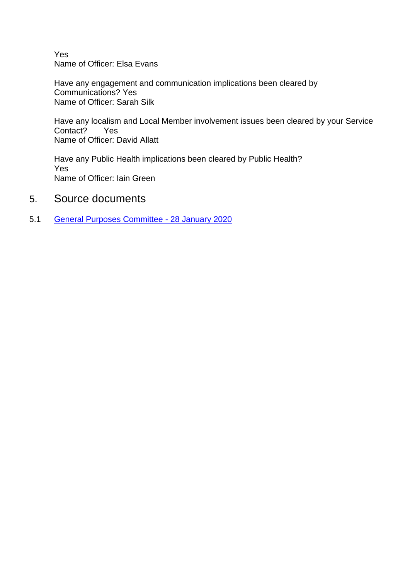Yes Name of Officer: Elsa Evans

Have any engagement and communication implications been cleared by Communications? Yes Name of Officer: Sarah Silk

Have any localism and Local Member involvement issues been cleared by your Service Contact? Yes Name of Officer: David Allatt

Have any Public Health implications been cleared by Public Health? Yes Name of Officer: Iain Green

- 5. Source documents
- 5.1 [General Purposes Committee -](https://cambridgeshire.cmis.uk.com/ccc_live/Meetings/tabid/70/ctl/ViewMeetingPublic/mid/397/Meeting/1017/Committee/2/Default.aspx) 28 January 2020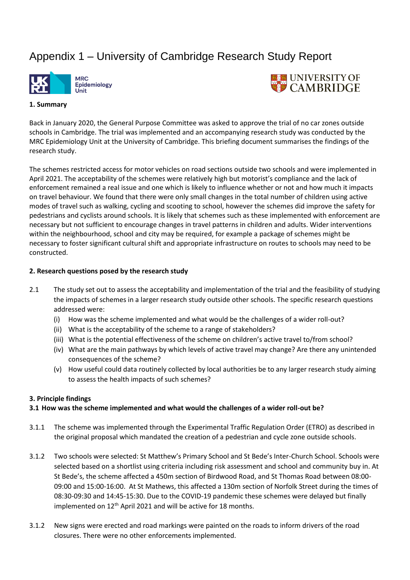# Appendix 1 – University of Cambridge Research Study Report





#### **1. Summary**

Back in January 2020, the General Purpose Committee was asked to approve the trial of no car zones outside schools in Cambridge. The trial was implemented and an accompanying research study was conducted by the MRC Epidemiology Unit at the University of Cambridge. This briefing document summarises the findings of the research study.

The schemes restricted access for motor vehicles on road sections outside two schools and were implemented in April 2021. The acceptability of the schemes were relatively high but motorist's compliance and the lack of enforcement remained a real issue and one which is likely to influence whether or not and how much it impacts on travel behaviour. We found that there were only small changes in the total number of children using active modes of travel such as walking, cycling and scooting to school, however the schemes did improve the safety for pedestrians and cyclists around schools. It is likely that schemes such as these implemented with enforcement are necessary but not sufficient to encourage changes in travel patterns in children and adults. Wider interventions within the neighbourhood, school and city may be required, for example a package of schemes might be necessary to foster significant cultural shift and appropriate infrastructure on routes to schools may need to be constructed.

#### **2. Research questions posed by the research study**

- 2.1 The study set out to assess the acceptability and implementation of the trial and the feasibility of studying the impacts of schemes in a larger research study outside other schools. The specific research questions addressed were:
	- (i) How was the scheme implemented and what would be the challenges of a wider roll-out?
	- (ii) What is the acceptability of the scheme to a range of stakeholders?
	- (iii) What is the potential effectiveness of the scheme on children's active travel to/from school?
	- (iv) What are the main pathways by which levels of active travel may change? Are there any unintended consequences of the scheme?
	- (v) How useful could data routinely collected by local authorities be to any larger research study aiming to assess the health impacts of such schemes?

#### **3. Principle findings**

#### **3.1 How was the scheme implemented and what would the challenges of a wider roll-out be?**

- 3.1.1 The scheme was implemented through the Experimental Traffic Regulation Order (ETRO) as described in the original proposal which mandated the creation of a pedestrian and cycle zone outside schools.
- 3.1.2 Two schools were selected: St Matthew's Primary School and St Bede's Inter-Church School. Schools were selected based on a shortlist using criteria including risk assessment and school and community buy in. At St Bede's, the scheme affected a 450m section of Birdwood Road, and St Thomas Road between 08:00- 09:00 and 15:00-16:00. At St Mathews, this affected a 130m section of Norfolk Street during the times of 08:30-09:30 and 14:45-15:30. Due to the COVID-19 pandemic these schemes were delayed but finally implemented on 12<sup>th</sup> April 2021 and will be active for 18 months.
- 3.1.2 New signs were erected and road markings were painted on the roads to inform drivers of the road closures. There were no other enforcements implemented.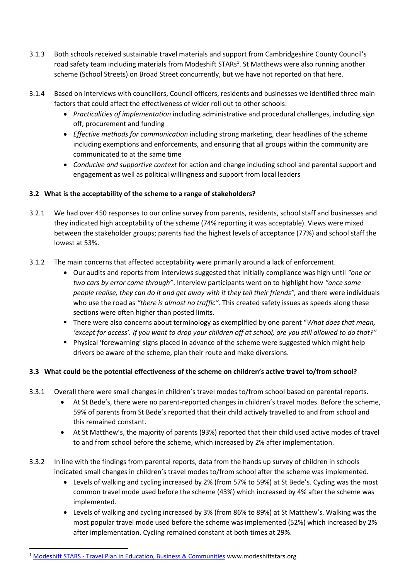- 3.1.3 Both schools received sustainable travel materials and support from Cambridgeshire County Council's road safety team including materials from Modeshift STARs<sup>1</sup>. St Matthews were also running another scheme (School Streets) on Broad Street concurrently, but we have not reported on that here.
- 3.1.4 Based on interviews with councillors, Council officers, residents and businesses we identified three main factors that could affect the effectiveness of wider roll out to other schools:
	- *Practicalities of implementation* including administrative and procedural challenges, including sign off, procurement and funding
	- *Effective methods for communication* including strong marketing, clear headlines of the scheme including exemptions and enforcements, and ensuring that all groups within the community are communicated to at the same time
	- *Conducive and supportive context* for action and change including school and parental support and engagement as well as political willingness and support from local leaders

#### **3.2 What is the acceptability of the scheme to a range of stakeholders?**

- 3.2.1 We had over 450 responses to our online survey from parents, residents, school staff and businesses and they indicated high acceptability of the scheme (74% reporting it was acceptable). Views were mixed between the stakeholder groups; parents had the highest levels of acceptance (77%) and school staff the lowest at 53%.
- 3.1.2 The main concerns that affected acceptability were primarily around a lack of enforcement.
	- Our audits and reports from interviews suggested that initially compliance was high until *"one or two cars by error come through"*. Interview participants went on to highlight how *"once some people realise, they can do it and get away with it they tell their friends",* and there were individuals who use the road as *"there is almost no traffic".* This created safety issues as speeds along these sections were often higher than posted limits.
	- There were also concerns about terminology as exemplified by one parent "*What does that mean. 'except for access'. If you want to drop your children off at school, are you still allowed to do that?"*
	- Physical 'forewarning' signs placed in advance of the scheme were suggested which might help drivers be aware of the scheme, plan their route and make diversions.

#### **3.3 What could be the potential effectiveness of the scheme on children's active travel to/from school?**

- 3.3.1 Overall there were small changes in children's travel modes to/from school based on parental reports.
	- At St Bede's, there were no parent-reported changes in children's travel modes. Before the scheme, 59% of parents from St Bede's reported that their child actively travelled to and from school and this remained constant.
	- At St Matthew's, the majority of parents (93%) reported that their child used active modes of travel to and from school before the scheme, which increased by 2% after implementation.
- 3.3.2 In line with the findings from parental reports, data from the hands up survey of children in schools indicated small changes in children's travel modes to/from school after the scheme was implemented.
	- Levels of walking and cycling increased by 2% (from 57% to 59%) at St Bede's. Cycling was the most common travel mode used before the scheme (43%) which increased by 4% after the scheme was implemented.
	- Levels of walking and cycling increased by 3% (from 86% to 89%) at St Matthew's. Walking was the most popular travel mode used before the scheme was implemented (52%) which increased by 2% after implementation. Cycling remained constant at both times at 29%.

<sup>&</sup>lt;sup>1</sup> Modeshift STARS - [Travel Plan in Education, Business & Communities](https://www.modeshiftstars.org/) www.modeshiftstars.org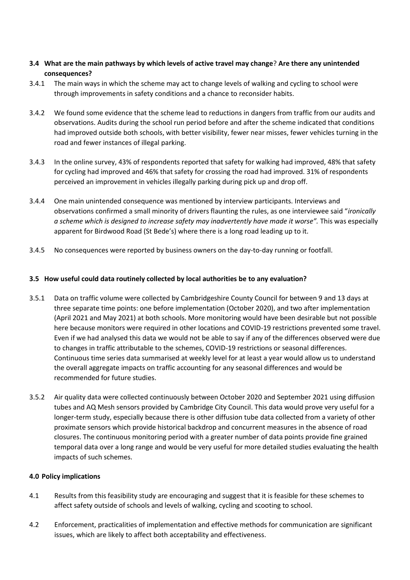#### **3.4 What are the main pathways by which levels of active travel may change**? **Are there any unintended consequences?**

- 3.4.1 The main ways in which the scheme may act to change levels of walking and cycling to school were through improvements in safety conditions and a chance to reconsider habits.
- 3.4.2 We found some evidence that the scheme lead to reductions in dangers from traffic from our audits and observations. Audits during the school run period before and after the scheme indicated that conditions had improved outside both schools, with better visibility, fewer near misses, fewer vehicles turning in the road and fewer instances of illegal parking.
- 3.4.3 In the online survey, 43% of respondents reported that safety for walking had improved, 48% that safety for cycling had improved and 46% that safety for crossing the road had improved. 31% of respondents perceived an improvement in vehicles illegally parking during pick up and drop off.
- 3.4.4 One main unintended consequence was mentioned by interview participants. Interviews and observations confirmed a small minority of drivers flaunting the rules, as one interviewee said "*ironically a scheme which is designed to increase safety may inadvertently have made it worse".* This was especially apparent for Birdwood Road (St Bede's) where there is a long road leading up to it.
- 3.4.5 No consequences were reported by business owners on the day-to-day running or footfall.

#### **3.5 How useful could data routinely collected by local authorities be to any evaluation?**

- 3.5.1 Data on traffic volume were collected by Cambridgeshire County Council for between 9 and 13 days at three separate time points: one before implementation (October 2020), and two after implementation (April 2021 and May 2021) at both schools. More monitoring would have been desirable but not possible here because monitors were required in other locations and COVID-19 restrictions prevented some travel. Even if we had analysed this data we would not be able to say if any of the differences observed were due to changes in traffic attributable to the schemes, COVID-19 restrictions or seasonal differences. Continuous time series data summarised at weekly level for at least a year would allow us to understand the overall aggregate impacts on traffic accounting for any seasonal differences and would be recommended for future studies.
- 3.5.2 Air quality data were collected continuously between October 2020 and September 2021 using diffusion tubes and AQ Mesh sensors provided by Cambridge City Council. This data would prove very useful for a longer-term study, especially because there is other diffusion tube data collected from a variety of other proximate sensors which provide historical backdrop and concurrent measures in the absence of road closures. The continuous monitoring period with a greater number of data points provide fine grained temporal data over a long range and would be very useful for more detailed studies evaluating the health impacts of such schemes.

#### **4.0 Policy implications**

- 4.1 Results from this feasibility study are encouraging and suggest that it is feasible for these schemes to affect safety outside of schools and levels of walking, cycling and scooting to school.
- 4.2 Enforcement, practicalities of implementation and effective methods for communication are significant issues, which are likely to affect both acceptability and effectiveness.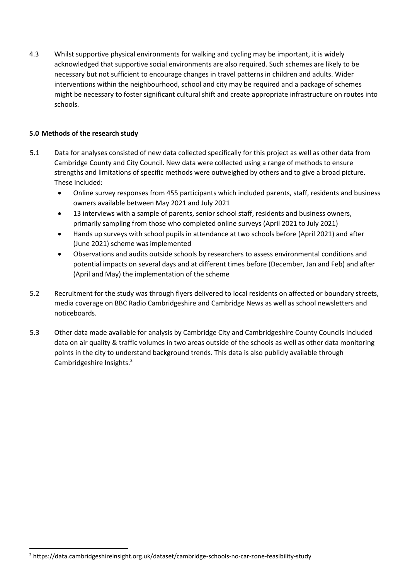4.3 Whilst supportive physical environments for walking and cycling may be important, it is widely acknowledged that supportive social environments are also required. Such schemes are likely to be necessary but not sufficient to encourage changes in travel patterns in children and adults. Wider interventions within the neighbourhood, school and city may be required and a package of schemes might be necessary to foster significant cultural shift and create appropriate infrastructure on routes into schools.

#### **5.0 Methods of the research study**

- 5.1 Data for analyses consisted of new data collected specifically for this project as well as other data from Cambridge County and City Council. New data were collected using a range of methods to ensure strengths and limitations of specific methods were outweighed by others and to give a broad picture. These included:
	- Online survey responses from 455 participants which included parents, staff, residents and business owners available between May 2021 and July 2021
	- 13 interviews with a sample of parents, senior school staff, residents and business owners, primarily sampling from those who completed online surveys (April 2021 to July 2021)
	- Hands up surveys with school pupils in attendance at two schools before (April 2021) and after (June 2021) scheme was implemented
	- Observations and audits outside schools by researchers to assess environmental conditions and potential impacts on several days and at different times before (December, Jan and Feb) and after (April and May) the implementation of the scheme
- 5.2 Recruitment for the study was through flyers delivered to local residents on affected or boundary streets, media coverage on BBC Radio Cambridgeshire and Cambridge News as well as school newsletters and noticeboards.
- 5.3 Other data made available for analysis by Cambridge City and Cambridgeshire County Councils included data on air quality & traffic volumes in two areas outside of the schools as well as other data monitoring points in the city to understand background trends. This data is also publicly available through Cambridgeshire Insights.<sup>2</sup>

<sup>2</sup> https://data.cambridgeshireinsight.org.uk/dataset/cambridge-schools-no-car-zone-feasibility-study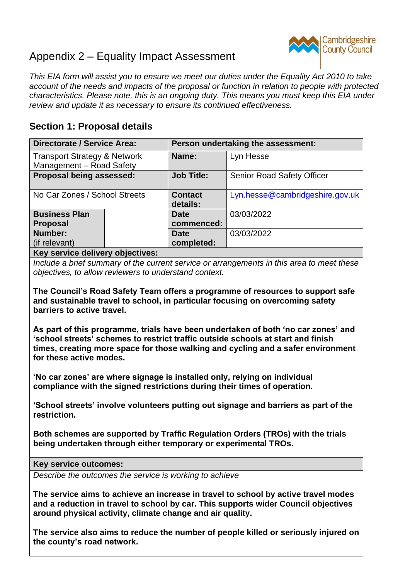# Appendix 2 – Equality Impact Assessment



*This EIA form will assist you to ensure we meet our duties under the Equality Act 2010 to take account of the needs and impacts of the proposal or function in relation to people with protected characteristics. Please note, this is an ongoing duty. This means you must keep this EIA under review and update it as necessary to ensure its continued effectiveness.*

## **Section 1: Proposal details**

| <b>Directorate / Service Area:</b>                                  |  | Person undertaking the assessment: |                                   |  |
|---------------------------------------------------------------------|--|------------------------------------|-----------------------------------|--|
| <b>Transport Strategy &amp; Network</b><br>Management - Road Safety |  | Name:                              | Lyn Hesse                         |  |
| Proposal being assessed:                                            |  | <b>Job Title:</b>                  | <b>Senior Road Safety Officer</b> |  |
| No Car Zones / School Streets                                       |  | <b>Contact</b><br>details:         | Lyn.hesse@cambridgeshire.gov.uk   |  |
| <b>Business Plan</b>                                                |  | <b>Date</b>                        | 03/03/2022                        |  |
| <b>Proposal</b>                                                     |  | commenced:                         |                                   |  |
| Number:                                                             |  | Date                               | 03/03/2022                        |  |
| (if relevant)                                                       |  | completed:                         |                                   |  |
| la ann an an chaid an choicheadh an choicheadh an t-                |  |                                    |                                   |  |

### **Key service delivery objectives:**

*Include a brief summary of the current service or arrangements in this area to meet these objectives, to allow reviewers to understand context.*

**The Council's Road Safety Team offers a programme of resources to support safe and sustainable travel to school, in particular focusing on overcoming safety barriers to active travel.**

**As part of this programme, trials have been undertaken of both 'no car zones' and 'school streets' schemes to restrict traffic outside schools at start and finish times, creating more space for those walking and cycling and a safer environment for these active modes.** 

**'No car zones' are where signage is installed only, relying on individual compliance with the signed restrictions during their times of operation.**

**'School streets' involve volunteers putting out signage and barriers as part of the restriction.**

**Both schemes are supported by Traffic Regulation Orders (TROs) with the trials being undertaken through either temporary or experimental TROs.**

**Key service outcomes:**

*Describe the outcomes the service is working to achieve*

**The service aims to achieve an increase in travel to school by active travel modes and a reduction in travel to school by car. This supports wider Council objectives around physical activity, climate change and air quality.**

**The service also aims to reduce the number of people killed or seriously injured on the county's road network.**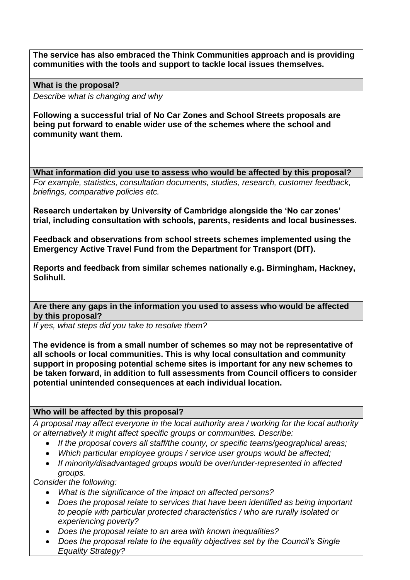**The service has also embraced the Think Communities approach and is providing communities with the tools and support to tackle local issues themselves.**

**What is the proposal?**

*Describe what is changing and why*

**Following a successful trial of No Car Zones and School Streets proposals are being put forward to enable wider use of the schemes where the school and community want them.**

**What information did you use to assess who would be affected by this proposal?**

*For example, statistics, consultation documents, studies, research, customer feedback, briefings, comparative policies etc.*

**Research undertaken by University of Cambridge alongside the 'No car zones' trial, including consultation with schools, parents, residents and local businesses.** 

**Feedback and observations from school streets schemes implemented using the Emergency Active Travel Fund from the Department for Transport (DfT).**

**Reports and feedback from similar schemes nationally e.g. Birmingham, Hackney, Solihull.**

**Are there any gaps in the information you used to assess who would be affected by this proposal?** 

*If yes, what steps did you take to resolve them?*

**The evidence is from a small number of schemes so may not be representative of all schools or local communities. This is why local consultation and community support in proposing potential scheme sites is important for any new schemes to be taken forward, in addition to full assessments from Council officers to consider potential unintended consequences at each individual location.**

### **Who will be affected by this proposal?**

*A proposal may affect everyone in the local authority area / working for the local authority or alternatively it might affect specific groups or communities. Describe:*

- *If the proposal covers all staff/the county, or specific teams/geographical areas;*
- *Which particular employee groups / service user groups would be affected;*
- *If minority/disadvantaged groups would be over/under-represented in affected groups.*

*Consider the following:*

- *What is the significance of the impact on affected persons?*
- *Does the proposal relate to services that have been identified as being important to people with particular protected characteristics / who are rurally isolated or experiencing poverty?*
- *Does the proposal relate to an area with known inequalities?*
- *Does the proposal relate to the equality objectives set by the Council's Single Equality Strategy?*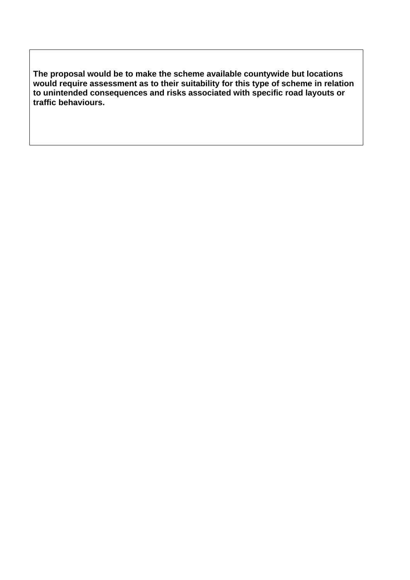**The proposal would be to make the scheme available countywide but locations would require assessment as to their suitability for this type of scheme in relation to unintended consequences and risks associated with specific road layouts or traffic behaviours.**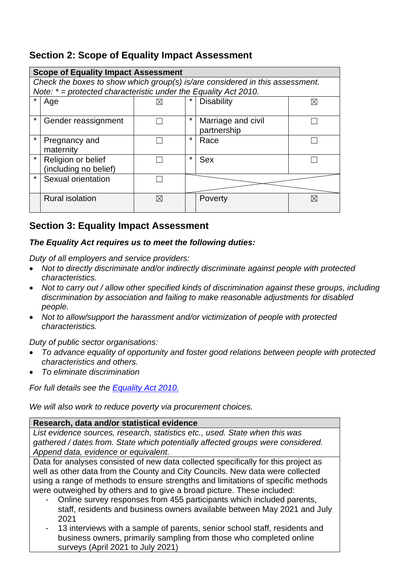## **Section 2: Scope of Equality Impact Assessment**

|         | <b>Scope of Equality Impact Assessment</b>                                   |   |         |                    |             |  |
|---------|------------------------------------------------------------------------------|---|---------|--------------------|-------------|--|
|         | Check the boxes to show which group(s) is/are considered in this assessment. |   |         |                    |             |  |
|         | Note: $* =$ protected characteristic under the Equality Act 2010.            |   |         |                    |             |  |
|         | Age                                                                          | ⋉ |         | <b>Disability</b>  | $\boxtimes$ |  |
|         |                                                                              |   |         |                    |             |  |
| $\star$ | Gender reassignment                                                          |   | ¥       | Marriage and civil |             |  |
|         |                                                                              |   |         | partnership        |             |  |
| $\star$ | Pregnancy and                                                                |   | $\star$ | Race               |             |  |
|         | maternity                                                                    |   |         |                    |             |  |
| $\star$ | Religion or belief                                                           |   | $\star$ | <b>Sex</b>         |             |  |
|         | (including no belief)                                                        |   |         |                    |             |  |
| $\star$ | Sexual orientation                                                           |   |         |                    |             |  |
|         |                                                                              |   |         |                    |             |  |
|         | <b>Rural isolation</b>                                                       | ⊠ |         | Poverty            | $\boxtimes$ |  |
|         |                                                                              |   |         |                    |             |  |

## **Section 3: Equality Impact Assessment**

### *The Equality Act requires us to meet the following duties:*

*Duty of all employers and service providers:* 

- *Not to directly discriminate and/or indirectly discriminate against people with protected characteristics.*
- *Not to carry out / allow other specified kinds of discrimination against these groups, including discrimination by association and failing to make reasonable adjustments for disabled people.*
- *Not to allow/support the harassment and/or victimization of people with protected characteristics.*

*Duty of public sector organisations:* 

- *To advance equality of opportunity and foster good relations between people with protected characteristics and others.*
- *To eliminate discrimination*

*For full details see the [Equality Act 2010.](https://www.legislation.gov.uk/ukpga/2010/15/contents)*

*We will also work to reduce poverty via procurement choices.*

### **Research, data and/or statistical evidence**

*List evidence sources, research, statistics etc., used. State when this was gathered / dates from. State which potentially affected groups were considered. Append data, evidence or equivalent.*

Data for analyses consisted of new data collected specifically for this project as well as other data from the County and City Councils. New data were collected using a range of methods to ensure strengths and limitations of specific methods were outweighed by others and to give a broad picture. These included:

- Online survey responses from 455 participants which included parents, staff, residents and business owners available between May 2021 and July 2021
- 13 interviews with a sample of parents, senior school staff, residents and business owners, primarily sampling from those who completed online surveys (April 2021 to July 2021)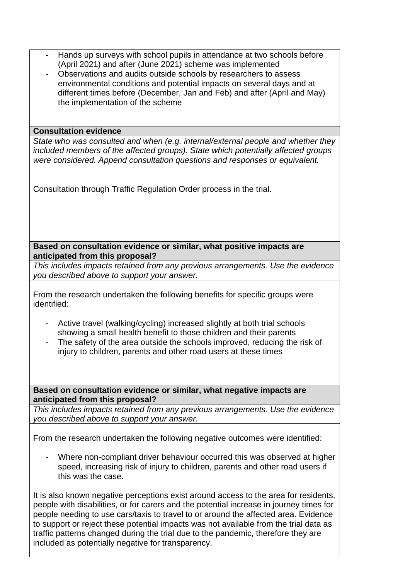- Hands up surveys with school pupils in attendance at two schools before (April 2021) and after (June 2021) scheme was implemented
- Observations and audits outside schools by researchers to assess environmental conditions and potential impacts on several days and at different times before (December, Jan and Feb) and after (April and May) the implementation of the scheme

#### **Consultation evidence**

*State who was consulted and when (e.g. internal/external people and whether they included members of the affected groups). State which potentially affected groups were considered. Append consultation questions and responses or equivalent.*

Consultation through Traffic Regulation Order process in the trial.

### **Based on consultation evidence or similar, what positive impacts are anticipated from this proposal?**

*This includes impacts retained from any previous arrangements. Use the evidence you described above to support your answer.*

From the research undertaken the following benefits for specific groups were identified:

- Active travel (walking/cycling) increased slightly at both trial schools showing a small health benefit to those children and their parents
- The safety of the area outside the schools improved, reducing the risk of injury to children, parents and other road users at these times

**Based on consultation evidence or similar, what negative impacts are anticipated from this proposal?**

*This includes impacts retained from any previous arrangements. Use the evidence you described above to support your answer.*

From the research undertaken the following negative outcomes were identified:

Where non-compliant driver behaviour occurred this was observed at higher speed, increasing risk of injury to children, parents and other road users if this was the case.

It is also known negative perceptions exist around access to the area for residents, people with disabilities, or for carers and the potential increase in journey times for people needing to use cars/taxis to travel to or around the affected area. Evidence to support or reject these potential impacts was not available from the trial data as traffic patterns changed during the trial due to the pandemic, therefore they are included as potentially negative for transparency.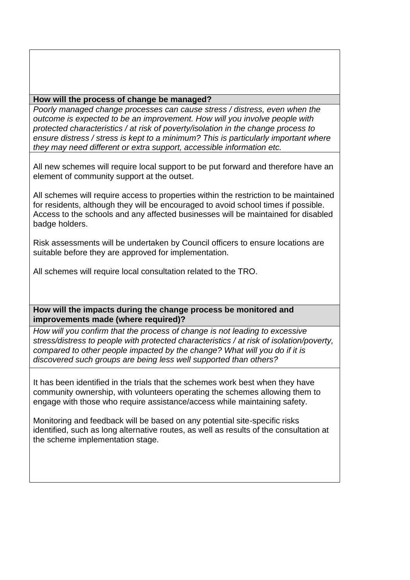### **How will the process of change be managed?**

*Poorly managed change processes can cause stress / distress, even when the outcome is expected to be an improvement. How will you involve people with protected characteristics / at risk of poverty/isolation in the change process to ensure distress / stress is kept to a minimum? This is particularly important where they may need different or extra support, accessible information etc.*

All new schemes will require local support to be put forward and therefore have an element of community support at the outset.

All schemes will require access to properties within the restriction to be maintained for residents, although they will be encouraged to avoid school times if possible. Access to the schools and any affected businesses will be maintained for disabled badge holders.

Risk assessments will be undertaken by Council officers to ensure locations are suitable before they are approved for implementation.

All schemes will require local consultation related to the TRO.

**How will the impacts during the change process be monitored and improvements made (where required)?**

*How will you confirm that the process of change is not leading to excessive stress/distress to people with protected characteristics / at risk of isolation/poverty, compared to other people impacted by the change? What will you do if it is discovered such groups are being less well supported than others?*

It has been identified in the trials that the schemes work best when they have community ownership, with volunteers operating the schemes allowing them to engage with those who require assistance/access while maintaining safety.

Monitoring and feedback will be based on any potential site-specific risks identified, such as long alternative routes, as well as results of the consultation at the scheme implementation stage.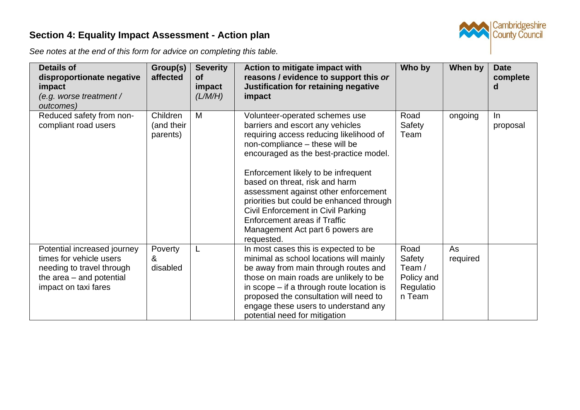# **Section 4: Equality Impact Assessment - Action plan**



*See notes at the end of this form for advice on completing this table.* 

| <b>Details of</b><br>disproportionate negative<br>impact<br>(e.g. worse treatment /<br>outcomes)                                          | Group(s)<br>affected               | <b>Severity</b><br><b>of</b><br>impact<br>(L/M/H) | Action to mitigate impact with<br>reasons / evidence to support this or<br>Justification for retaining negative<br>impact                                                                                                                                                                                                                                                                                                                                                                    | Who by                                                        | When by        | <b>Date</b><br>complete<br>d |
|-------------------------------------------------------------------------------------------------------------------------------------------|------------------------------------|---------------------------------------------------|----------------------------------------------------------------------------------------------------------------------------------------------------------------------------------------------------------------------------------------------------------------------------------------------------------------------------------------------------------------------------------------------------------------------------------------------------------------------------------------------|---------------------------------------------------------------|----------------|------------------------------|
| Reduced safety from non-<br>compliant road users                                                                                          | Children<br>(and their<br>parents) | M                                                 | Volunteer-operated schemes use<br>barriers and escort any vehicles<br>requiring access reducing likelihood of<br>non-compliance - these will be<br>encouraged as the best-practice model.<br>Enforcement likely to be infrequent<br>based on threat, risk and harm<br>assessment against other enforcement<br>priorities but could be enhanced through<br><b>Civil Enforcement in Civil Parking</b><br><b>Enforcement areas if Traffic</b><br>Management Act part 6 powers are<br>requested. | Road<br>Safety<br>Team                                        | ongoing        | In.<br>proposal              |
| Potential increased journey<br>times for vehicle users<br>needing to travel through<br>the area $-$ and potential<br>impact on taxi fares | Poverty<br>&<br>disabled           |                                                   | In most cases this is expected to be<br>minimal as school locations will mainly<br>be away from main through routes and<br>those on main roads are unlikely to be<br>in scope $-$ if a through route location is<br>proposed the consultation will need to<br>engage these users to understand any<br>potential need for mitigation                                                                                                                                                          | Road<br>Safety<br>Team /<br>Policy and<br>Regulatio<br>n Team | As<br>required |                              |